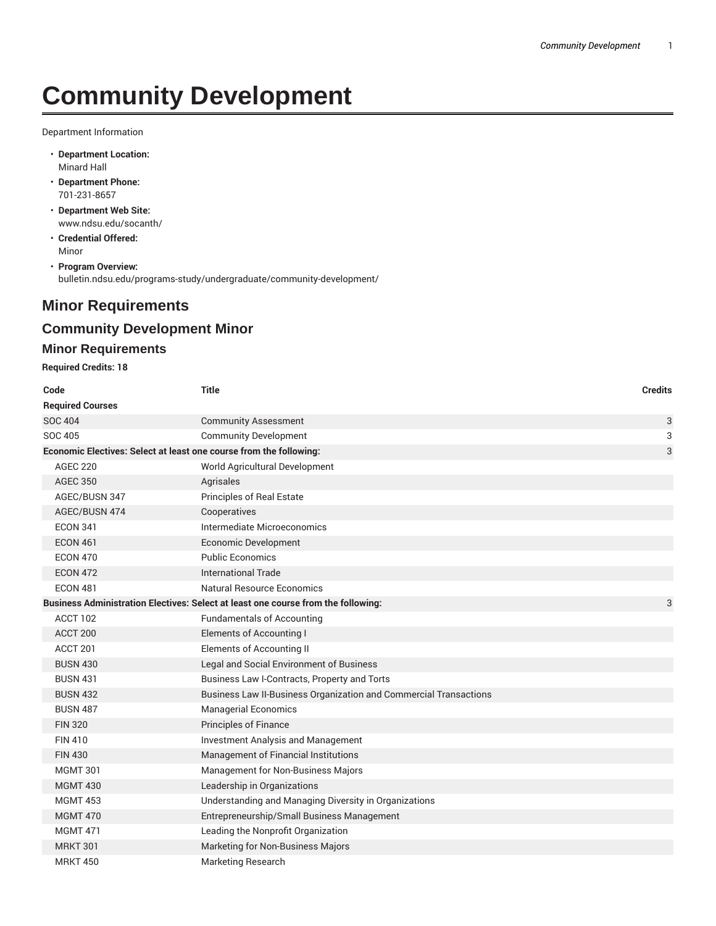# **Community Development**

Department Information

- **Department Location:** Minard Hall
- **Department Phone:** 701-231-8657
- **Department Web Site:** www.ndsu.edu/socanth/
- **Credential Offered:** Minor
- **Program Overview:** bulletin.ndsu.edu/programs-study/undergraduate/community-development/

## **Minor Requirements**

### **Community Development Minor**

#### **Minor Requirements**

**Required Credits: 18**

| Code                    | <b>Title</b>                                                                      | <b>Credits</b> |
|-------------------------|-----------------------------------------------------------------------------------|----------------|
| <b>Required Courses</b> |                                                                                   |                |
| <b>SOC 404</b>          | <b>Community Assessment</b>                                                       | 3              |
| <b>SOC 405</b>          | <b>Community Development</b>                                                      | 3              |
|                         | Economic Electives: Select at least one course from the following:                | 3              |
| <b>AGEC 220</b>         | World Agricultural Development                                                    |                |
| <b>AGEC 350</b>         | Agrisales                                                                         |                |
| AGEC/BUSN 347           | <b>Principles of Real Estate</b>                                                  |                |
| AGEC/BUSN 474           | Cooperatives                                                                      |                |
| <b>ECON 341</b>         | Intermediate Microeconomics                                                       |                |
| <b>ECON 461</b>         | <b>Economic Development</b>                                                       |                |
| <b>ECON 470</b>         | <b>Public Economics</b>                                                           |                |
| <b>ECON 472</b>         | <b>International Trade</b>                                                        |                |
| <b>ECON 481</b>         | Natural Resource Economics                                                        |                |
|                         | Business Administration Electives: Select at least one course from the following: | 3              |
| ACCT 102                | <b>Fundamentals of Accounting</b>                                                 |                |
| ACCT <sub>200</sub>     | Elements of Accounting I                                                          |                |
| ACCT 201                | <b>Elements of Accounting II</b>                                                  |                |
| <b>BUSN 430</b>         | Legal and Social Environment of Business                                          |                |
| <b>BUSN 431</b>         | Business Law I-Contracts, Property and Torts                                      |                |
| <b>BUSN 432</b>         | Business Law II-Business Organization and Commercial Transactions                 |                |
| <b>BUSN 487</b>         | <b>Managerial Economics</b>                                                       |                |
| <b>FIN 320</b>          | <b>Principles of Finance</b>                                                      |                |
| <b>FIN 410</b>          | <b>Investment Analysis and Management</b>                                         |                |
| <b>FIN 430</b>          | Management of Financial Institutions                                              |                |
| <b>MGMT 301</b>         | Management for Non-Business Majors                                                |                |
| <b>MGMT 430</b>         | Leadership in Organizations                                                       |                |
| <b>MGMT 453</b>         | Understanding and Managing Diversity in Organizations                             |                |
| <b>MGMT 470</b>         | Entrepreneurship/Small Business Management                                        |                |
| <b>MGMT 471</b>         | Leading the Nonprofit Organization                                                |                |
| <b>MRKT 301</b>         | Marketing for Non-Business Majors                                                 |                |
| <b>MRKT 450</b>         | <b>Marketing Research</b>                                                         |                |